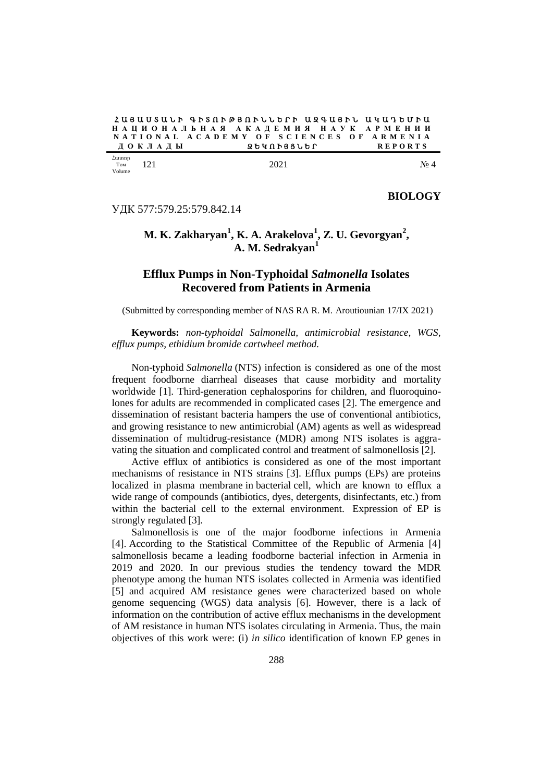$2$  U 3 U U S U L P A F S  $\Omega$  R  $\Theta$  3  $\Omega$  F L L P P L U 2 A U 3 F L U 4 U 7 B U F U **Н А Ц И О Н А Л Ь Н А Я А К А Д Е М И Я Н А У К А Р М Е Н И И N A T I O N A L A C A D E M Y O F S C I E N C E S O F A R M E N I A**  $\overline{A}$  О К Л А Д Ы

Հատոր Том Volume

#### $121$  No  $4$

УДК 577:579.25:579.842.14

## **BIOLOGY**

# **M. K. Zakharyan<sup>1</sup> , K. A. Arakelova<sup>1</sup> , Z. U. Gevorgyan<sup>2</sup> , A. M. Sedrakyan<sup>1</sup>**

# **Efflux Pumps in Non-Typhoidal** *Salmonella* **Isolates Recovered from Patients in Armenia**

(Submitted by corresponding member of NAS RA R. M. Aroutiounian 17/IX 2021)

**Keywords:** *non-typhoidal Salmonella, antimicrobial resistance, WGS, efflux pumps, ethidium bromide cartwheel method.*

Non-typhoid *Salmonella* (NTS) infection is considered as one of the most frequent foodborne diarrheal diseases that cause morbidity and mortality worldwide [1]. Third-generation cephalosporins for children, and fluoroquinolones for adults are recommended in complicated cases [2]. The emergence and dissemination of resistant bacteria hampers the use of conventional antibiotics, and growing resistance to new antimicrobial (AM) agents as well as widespread dissemination of multidrug-resistance (MDR) among NTS isolates is aggravating the situation and complicated control and treatment of salmonellosis [2].

Active efflux of antibiotics is considered as one of the most important mechanisms of resistance in NTS strains [3]. Efflux pumps (EPs) are proteins localized in plasma membrane in bacterial cell, which are known to efflux a wide range of compounds (antibiotics, dyes, detergents, disinfectants, etc.) from within the bacterial cell to the external environment. Expression of EP is strongly regulated [3].

Salmonellosis is one of the major foodborne infections in Armenia [4]. According to the Statistical Committee of the Republic of Armenia [4] salmonellosis became a leading foodborne bacterial infection in Armenia in 2019 and 2020. In our previous studies the tendency toward the MDR phenotype among the human NTS isolates collected in Armenia was identified [5] and acquired AM resistance genes were characterized based on whole genome sequencing (WGS) data analysis [6]. However, there is a lack of information on the contribution of active efflux mechanisms in the development of AM resistance in human NTS isolates circulating in Armenia. Thus, the main objectives of this work were: (i) *in silico* identification of known EP genes in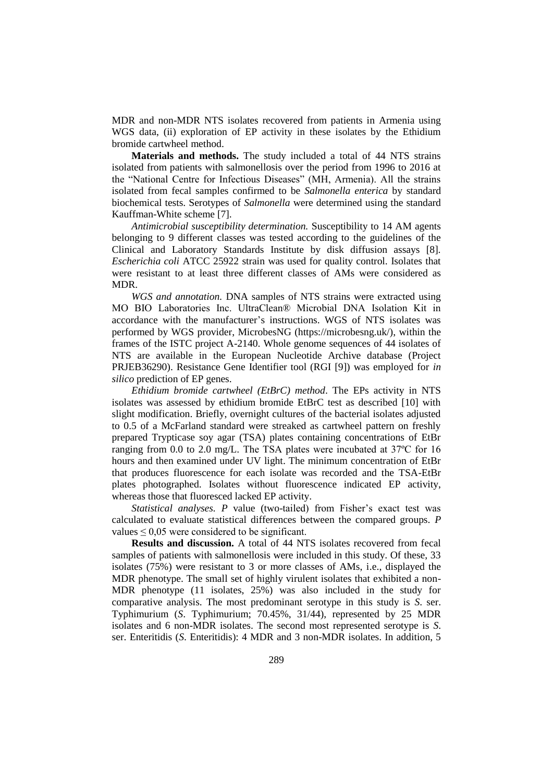MDR and non-MDR NTS isolates recovered from patients in Armenia using WGS data, (ii) exploration of EP activity in these isolates by the Ethidium bromide cartwheel method.

**Materials and methods.** The study included a total of 44 NTS strains isolated from patients with salmonellosis over the period from 1996 to 2016 at the "National Centre for Infectious Diseases" (MH, Armenia). All the strains isolated from fecal samples confirmed to be *Salmonella enterica* by standard biochemical tests. Serotypes of *Salmonella* were determined using the standard Kauffman-White scheme [7].

*Antimicrobial susceptibility determination.* Susceptibility to 14 AM agents belonging to 9 different classes was tested according to the guidelines of the Clinical and Laboratory Standards Institute by disk diffusion assays [8]. *Escherichia coli* ATCC 25922 strain was used for quality control. Isolates that were resistant to at least three different classes of AMs were considered as MDR.

*WGS and annotation.* DNA samples of NTS strains were extracted using MO BIO Laboratories Inc. UltraClean® Microbial DNA Isolation Kit in accordance with the manufacturer's instructions. WGS of NTS isolates was performed by WGS provider, MicrobesNG [\(https://microbesng.uk/\)](https://microbesng.uk/), within the frames of the ISTC project A-2140. Whole genome sequences of 44 isolates of NTS are available in the European Nucleotide Archive database (Project PRJEB36290). Resistance Gene Identifier tool (RGI [9]) was employed for *in silico* prediction of EP genes.

*Ethidium bromide cartwheel (EtBrC) method*. The EPs activity in NTS isolates was assessed by ethidium bromide EtBrC test as described [10] with slight modification. Briefly, overnight cultures of the bacterial isolates adjusted to 0.5 of a McFarland standard were streaked as cartwheel pattern on freshly prepared Trypticase soy agar (TSA) plates containing concentrations of EtBr ranging from 0.0 to 2.0 mg/L. The TSA plates were incubated at 37ºC for 16 hours and then examined under UV light. The minimum concentration of EtBr that produces fluorescence for each isolate was recorded and the TSA-EtBr plates photographed. Isolates without fluorescence indicated EP activity, whereas those that fluoresced lacked EP activity.

*Statistical analyses. P* value (two-tailed) from Fisher's exact test was calculated to evaluate statistical differences between the compared groups. *P* values  $\leq 0.05$  were considered to be significant.

**Results and discussion.** A total of 44 NTS isolates recovered from fecal samples of patients with salmonellosis were included in this study. Of these, 33 isolates (75%) were resistant to 3 or more classes of AMs, i.e., displayed the MDR phenotype. The small set of highly virulent isolates that exhibited a non-MDR phenotype (11 isolates, 25%) was also included in the study for comparative analysis. The most predominant serotype in this study is *S*. ser. Typhimurium (*S*. Typhimurium; 70.45%, 31/44), represented by 25 MDR isolates and 6 non-MDR isolates. The second most represented serotype is *S*. ser. Enteritidis (*S*. Enteritidis): 4 MDR and 3 non-MDR isolates. In addition, 5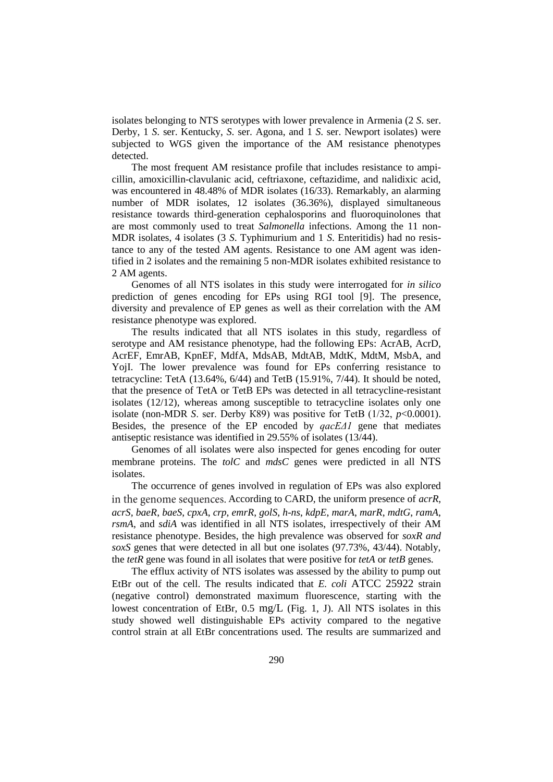isolates belonging to NTS serotypes with lower prevalence in Armenia (2 *S*. ser. Derby, 1 *S*. ser. Kentucky, *S*. ser. Agona, and 1 *S*. ser. Newport isolates) were subjected to WGS given the importance of the AM resistance phenotypes detected.

The most frequent AM resistance profile that includes resistance to ampicillin, amoxicillin-clavulanic acid, ceftriaxone, ceftazidime, and nalidixic acid, was encountered in 48.48% of MDR isolates (16/33). Remarkably, an alarming number of MDR isolates, 12 isolates (36.36%), displayed simultaneous resistance towards third-generation cephalosporins and fluoroquinolones that are most commonly used to treat *Salmonella* infections. Among the 11 non-MDR isolates, 4 isolates (3 *S*. Typhimurium and 1 *S*. Enteritidis) had no resistance to any of the tested AM agents. Resistance to one AM agent was identified in 2 isolates and the remaining 5 non-MDR isolates exhibited resistance to 2 AM agents.

Genomes of all NTS isolates in this study were interrogated for *in silico* prediction of genes encoding for EPs using RGI tool [9]. The presence, diversity and prevalence of EP genes as well as their correlation with the AM resistance phenotype was explored.

The results indicated that all NTS isolates in this study, regardless of serotype and AM resistance phenotype, had the following EPs: AcrAB, AcrD, AcrEF, EmrAB, KpnEF, MdfA, MdsAB, MdtAB, MdtK, MdtM, MsbA, and YojI. The lower prevalence was found for EPs conferring resistance to tetracycline: TetA (13.64%, 6/44) and TetB (15.91%, 7/44). It should be noted, that the presence of TetA or TetB EPs was detected in all tetracycline-resistant isolates (12/12), whereas among susceptible to tetracycline isolates only one isolate (non-MDR *S*. ser. Derby К89) was positive for TetB (1/32, *p*<0.0001). Besides, the presence of the EP encoded by *qacEΔ1* gene that mediates antiseptic resistance was identified in 29.55% of isolates (13/44).

Genomes of all isolates were also inspected for genes encoding for outer membrane proteins. The *tolC* and *mdsC* genes were predicted in all NTS isolates.

The occurrence of genes involved in regulation of EPs was also explored in the genome sequences. According to CARD, the uniform presence of *acrR*, *acrS, baeR*, *baeS*, *cpxA*, *crp*, *emrR*, *golS*, *h-ns*, *kdpE*, *marA*, *marR*, *mdtG*, *ramA*, *rsmA*, and *sdiA* was identified in all NTS isolates, irrespectively of their AM resistance phenotype. Besides, the high prevalence was observed for *soxR and soxS* genes that were detected in all but one isolates (97.73%, 43/44). Notably, the *tetR* gene was found in all isolates that were positive for *tetA* or *tetB* genes.

The efflux activity of NTS isolates was assessed by the ability to pump out EtBr out of the cell. The results indicated that *E. coli* ATCC 25922 strain (negative control) demonstrated maximum fluorescence, starting with the lowest concentration of EtBr, 0.5 mg/L (Fig. 1, J). All NTS isolates in this study showed well distinguishable EPs activity compared to the negative control strain at all EtBr concentrations used. The results are summarized and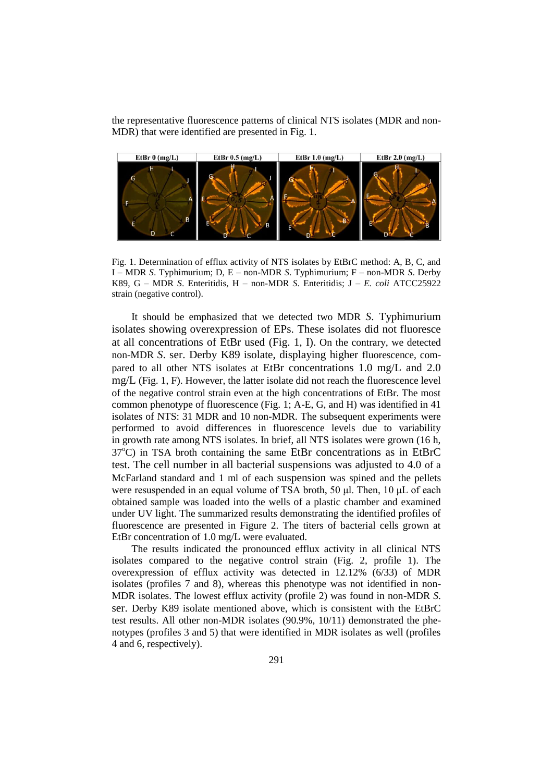the representative fluorescence patterns of clinical NTS isolates (MDR and non-MDR) that were identified are presented in Fig. 1.



Fig. 1. Determination of efflux activity of NTS isolates by EtBrC method: A, B, C, and I – MDR *S*. Typhimurium; D, E – non-MDR *S*. Typhimurium; F – non-MDR *S*. Derby K89, G – MDR *S*. Enteritidis, H – non-MDR *S*. Enteritidis; J – *E. coli* ATCC25922 strain (negative control).

It should be emphasized that we detected two MDR *S*. Typhimurium isolates showing overexpression of EPs. These isolates did not fluoresce at all concentrations of EtBr used (Fig. 1, I). On the contrary, we detected non-MDR *S*. ser. Derby K89 isolate, displaying higher fluorescence, compared to all other NTS isolates at EtBr concentrations 1.0 mg/L and 2.0 mg/L (Fig. 1, F). However, the latter isolate did not reach the fluorescence level of the negative control strain even at the high concentrations of EtBr. The most common phenotype of fluorescence (Fig. 1; A-E, G, and H) was identified in 41 isolates of NTS: 31 MDR and 10 non-MDR. The subsequent experiments were performed to avoid differences in fluorescence levels due to variability in growth rate among NTS isolates. In brief, all NTS isolates were grown (16 h,  $37^{\circ}$ C) in TSA broth containing the same EtBr concentrations as in EtBrC test. The cell number in all bacterial suspensions was adjusted to 4.0 of a McFarland standard and 1 ml of each suspension was spined and the pellets were resuspended in an equal volume of TSA broth, 50 μl. Then, 10 μL of each obtained sample was loaded into the wells of a plastic chamber and examined under UV light. The summarized results demonstrating the identified profiles of fluorescence are presented in Figure 2. The titers of bacterial cells grown at EtBr concentration of 1.0 mg/L were evaluated.

The results indicated the pronounced efflux activity in all clinical NTS isolates compared to the negative control strain (Fig. 2, profile 1). The overexpression of efflux activity was detected in 12.12% (6/33) of MDR isolates (profiles 7 and 8), whereas this phenotype was not identified in non-MDR isolates. The lowest efflux activity (profile 2) was found in non-MDR *S*. ser. Derby K89 isolate mentioned above, which is consistent with the EtBrC test results. All other non-MDR isolates (90.9%, 10/11) demonstrated the phenotypes (profiles 3 and 5) that were identified in MDR isolates as well (profiles 4 and 6, respectively).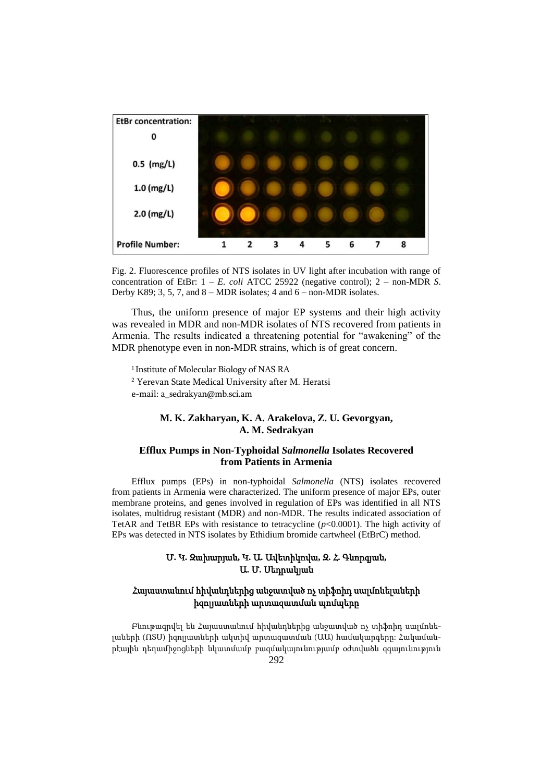

Fig. 2. Fluorescence profiles of NTS isolates in UV light after incubation with range of concentration of EtBr: 1 – *E. coli* ATCC 25922 (negative control); 2 – non-MDR *S*. Derby K89; 3, 5, 7, and  $8 - MDR$  isolates; 4 and  $6 - non-MDR$  isolates.

Thus, the uniform presence of major EP systems and their high activity was revealed in MDR and non-MDR isolates of NTS recovered from patients in Armenia. The results indicated a threatening potential for "awakening" of the MDR phenotype even in non-MDR strains, which is of great concern.

<sup>1</sup> Institute of Molecular Biology of NAS RA <sup>2</sup> Yerevan State Medical University after M. Heratsi e-mail: a\_sedrakyan@mb.sci.am

### **M. K. Zakharyan, K. A. Arakelova, Z. U. Gevorgyan, A. M. Sedrakyan**

#### **Efflux Pumps in Non-Typhoidal** *Salmonella* **Isolates Recovered from Patients in Armenia**

Efflux pumps (EPs) in non-typhoidal *Salmonella* (NTS) isolates recovered from patients in Armenia were characterized. The uniform presence of major EPs, outer membrane proteins, and genes involved in regulation of EPs was identified in all NTS isolates, multidrug resistant (MDR) and non-MDR. The results indicated association of TetAR and TetBR EPs with resistance to tetracycline (*p*<0.0001). The high activity of EPs was detected in NTS isolates by Ethidium bromide cartwheel (EtBrC) method.

### Մ**.** Կ**.** Զախարյան**,** Կ**.** Ա**.** Ավետիկովա**,** Զ**.** Հ**.** Գևորգյան**,**  Ա**.** Մ**.** Սեդրակյան

### Հայաստանում հիվանդներից անջատված ոչ տիֆոիդ սալմոնելաների իզոլյատների արտազատման պոմպերը

Բնութագրվել են Հայաստանում հիվանդներից անջատված ոչ տիֆոիդ սալմոնելաների (ՈՏՍ) իզոլյատների ակտիվ արտազատման (ԱԱ) համակարգերը: Հակամանրէային դեղամիջոցների նկատմամբ բազմակայունությամբ օժտվածև զգայունություն